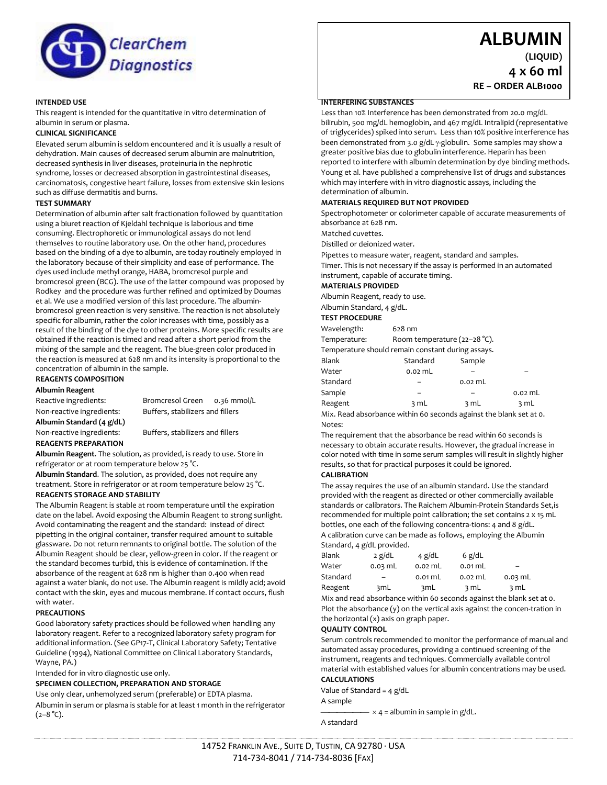

# **ALBUMIN**

**(LIQUID)**

**4 x 60 ml RE – ORDER ALB1000**

# **INTENDED USE**

This reagent is intended for the quantitative in vitro determination of albumin in serum or plasma.

# **CLINICAL SIGNIFICANCE**

Elevated serum albumin is seldom encountered and it is usually a result of dehydration. Main causes of decreased serum albumin are malnutrition, decreased synthesis in liver diseases, proteinuria in the nephrotic syndrome, losses or decreased absorption in gastrointestinal diseases, carcinomatosis, congestive heart failure, losses from extensive skin lesions such as diffuse dermatitis and burns.

# **TEST SUMMARY**

Determination of albumin after salt fractionation followed by quantitation using a biuret reaction of Kjeldahl technique is laborious and time consuming. Electrophoretic or immunological assays do not lend themselves to routine laboratory use. On the other hand, procedures based on the binding of a dye to albumin, are today routinely employed in the laboratory because of their simplicity and ease of performance. The dyes used include methyl orange, HABA, bromcresol purple and bromcresol green (BCG). The use of the latter compound was proposed by Rodkey and the procedure was further refined and optimized by Doumas et al. We use a modified version of this last procedure. The albuminbromcresol green reaction is very sensitive. The reaction is not absolutely specific for albumin, rather the color increases with time, possibly as a result of the binding of the dye to other proteins. More specific results are obtained if the reaction is timed and read after a short period from the mixing of the sample and the reagent. The blue-green color produced in the reaction is measured at 628 nm and its intensity is proportional to the concentration of albumin in the sample.

# **REAGENTS COMPOSITION**

**Albumin Reagent**

**Albumin Standard (4 g/dL)**

Reactive ingredients: Bromcresol Green 0.36 mmol/L Non-reactive ingredients: Buffers, stabilizers and fillers

Non-reactive ingredients: Buffers, stabilizers and fillers

**REAGENTS PREPARATION Albumin Reagent**. The solution, as provided, is ready to use. Store in refrigerator or at room temperature below 25 °C.

**Albumin Standard**. The solution, as provided, does not require any treatment. Store in refrigerator or at room temperature below 25 °C.

# **REAGENTS STORAGE AND STABILITY**

The Albumin Reagent is stable at room temperature until the expiration date on the label. Avoid exposing the Albumin Reagent to strong sunlight. Avoid contaminating the reagent and the standard: instead of direct pipetting in the original container, transfer required amount to suitable glassware. Do not return remnants to original bottle. The solution of the Albumin Reagent should be clear, yellow-green in color. If the reagent or the standard becomes turbid, this is evidence of contamination. If the absorbance of the reagent at 628 nm is higher than 0.400 when read against a water blank, do not use. The Albumin reagent is mildly acid; avoid contact with the skin, eyes and mucous membrane. If contact occurs, flush with water.

#### **PRECAUTIONS**

Good laboratory safety practices should be followed when handling any laboratory reagent. Refer to a recognized laboratory safety program for additional information. (See GP17-T, Clinical Laboratory Safety; Tentative Guideline (1994), National Committee on Clinical Laboratory Standards, Wayne, PA.)

Intended for in vitro diagnostic use only.

#### **SPECIMEN COLLECTION, PREPARATION AND STORAGE**

Use only clear, unhemolyzed serum (preferable) or EDTA plasma. Albumin in serum or plasma is stable for at least 1 month in the refrigerator  $(2-8 °C)$ .

#### **INTERFERING SUBSTANCES**

Less than 10% Interference has been demonstrated from 20.0 mg/dL bilirubin, 500 mg/dL hemoglobin, and 467 mg/dL Intralipid (representative of triglycerides) spiked into serum. Less than 10% positive interference has been demonstrated from 3.0 g/dL  $\gamma$ -globulin. Some samples may show a greater positive bias due to globulin interference. Heparin has been reported to interfere with albumin determination by dye binding methods. Young et al. have published a comprehensive list of drugs and substances which may interfere with in vitro diagnostic assays, including the determination of albumin.

#### **MATERIALS REQUIRED BUT NOT PROVIDED**

Spectrophotometer or colorimeter capable of accurate measurements of absorbance at 628 nm.

Matched cuvettes.

Distilled or deionized water.

Pipettes to measure water, reagent, standard and samples.

Timer. This is not necessary if the assay is performed in an automated instrument, capable of accurate timing.

#### **MATERIALS PROVIDED**

Albumin Reagent, ready to use.

# Albumin Standard, 4 g/dL.

| <b>TEST PROCEDURE</b>                             |                                        |           |           |  |  |
|---------------------------------------------------|----------------------------------------|-----------|-----------|--|--|
| Wavelength:                                       | $628$ nm                               |           |           |  |  |
| Temperature:                                      | Room temperature $(22-28 \degree C)$ . |           |           |  |  |
| Temperature should remain constant during assays. |                                        |           |           |  |  |
| Blank                                             | Standard                               | Sample    |           |  |  |
| Water                                             | $0.02$ mL                              |           |           |  |  |
| Standard                                          |                                        | $0.02$ mL |           |  |  |
| Sample                                            |                                        |           | $0.02$ mL |  |  |
| Reagent                                           | 3 mL                                   | 3 mL      | 3 mL      |  |  |
|                                                   |                                        | .         |           |  |  |

Mix. Read absorbance within 60 seconds against the blank set at 0. Notes:

The requirement that the absorbance be read within 60 seconds is necessary to obtain accurate results. However, the gradual increase in color noted with time in some serum samples will result in slightly higher results, so that for practical purposes it could be ignored.

#### **CALIBRATION**

The assay requires the use of an albumin standard. Use the standard provided with the reagent as directed or other commercially available standards or calibrators. The Raichem Albumin-Protein Standards Set,is recommended for multiple point calibration; the set contains 2 x 15 mL bottles, one each of the following concentra-tions: 4 and 8 g/dL. A calibration curve can be made as follows, employing the Albumin Standard, 4 g/dL provided.

| Blank    | $2$ g/dL  | 4 $g/dL$  | 6 $g/dL$  |                          |
|----------|-----------|-----------|-----------|--------------------------|
| Water    | $0.03$ mL | $0.02$ mL | $0.01$ mL | $\overline{\phantom{0}}$ |
| Standard | -         | $0.01$ mL | $0.02$ mL | $0.03$ mL                |
| Reagent  | 3mL       | 3mL       | 3 mL      | 3 mL                     |

Mix and read absorbance within 60 seconds against the blank set at 0. Plot the absorbance (y) on the vertical axis against the concen-tration in the horizontal (x) axis on graph paper.

#### **QUALITY CONTROL**

Serum controls recommended to monitor the performance of manual and automated assay procedures, providing a continued screening of the instrument, reagents and techniques. Commercially available control material with established values for albumin concentrations may be used.

#### **CALCULATIONS**

Value of Standard = 4 g/dL

A sample

 $- \times 4$  = albumin in sample in g/dL.

A standard